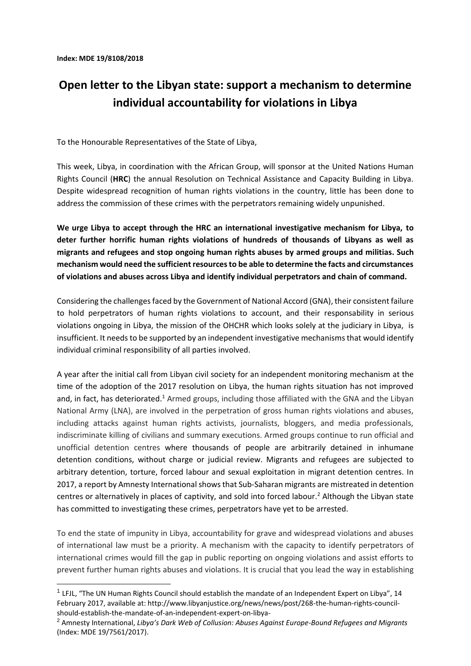-

## **Open letter to the Libyan state: support a mechanism to determine individual accountability for violations in Libya**

To the Honourable Representatives of the State of Libya,

This week, Libya, in coordination with the African Group, will sponsor at the United Nations Human Rights Council (**HRC**) the annual Resolution on Technical Assistance and Capacity Building in Libya. Despite widespread recognition of human rights violations in the country, little has been done to address the commission of these crimes with the perpetrators remaining widely unpunished.

**We urge Libya to accept through the HRC an international investigative mechanism for Libya, to deter further horrific human rights violations of hundreds of thousands of Libyans as well as migrants and refugees and stop ongoing human rights abuses by armed groups and militias. Such mechanism would need the sufficient resources to be able to determine the facts and circumstances of violations and abuses across Libya and identify individual perpetrators and chain of command.** 

Considering the challenges faced by the Government of National Accord (GNA), their consistent failure to hold perpetrators of human rights violations to account, and their responsability in serious violations ongoing in Libya, the mission of the OHCHR which looks solely at the judiciary in Libya, is insufficient. It needs to be supported by an independent investigative mechanisms that would identify individual criminal responsibility of all parties involved.

A year after the initial call from Libyan civil society for an independent monitoring mechanism at the time of the adoption of the 2017 resolution on Libya, the human rights situation has not improved and, in fact, has deteriorated.<sup>1</sup> Armed groups, including those affiliated with the GNA and the Libyan National Army (LNA), are involved in the perpetration of gross human rights violations and abuses, including attacks against human rights activists, journalists, bloggers, and media professionals, indiscriminate killing of civilians and summary executions. Armed groups continue to run official and unofficial detention centres where thousands of people are arbitrarily detained in inhumane detention conditions, without charge or judicial review. Migrants and refugees are subjected to arbitrary detention, torture, forced labour and sexual exploitation in migrant detention centres. In 2017, a report by Amnesty International showsthat Sub-Saharan migrants are mistreated in detention centres or alternatively in places of captivity, and sold into forced labour.<sup>2</sup> Although the Libyan state has committed to investigating these crimes, perpetrators have yet to be arrested.

To end the state of impunity in Libya, accountability for grave and widespread violations and abuses of international law must be a priority. A mechanism with the capacity to identify perpetrators of international crimes would fill the gap in public reporting on ongoing violations and assist efforts to prevent further human rights abuses and violations. It is crucial that you lead the way in establishing

<sup>&</sup>lt;sup>1</sup> LFJL, "The UN Human [Rights Council should establish the mandate of an Independent Expert on Libya"](http://www.libyanjustice.org/news/news/post/268-the-human-rights-council-should-establish-the-mandate-of-an-independent-expert-on-libya-), 14 February 2017, available at: http://www.libyanjustice.org/news/news/post/268-the-human-rights-councilshould-establish-the-mandate-of-an-independent-expert-on-libya-

<sup>2</sup> Amnesty International, *Libya's Dark Web of Collusion: Abuses Against Europe-Bound Refugees and Migrants* (Index: MDE 19/7561/2017).